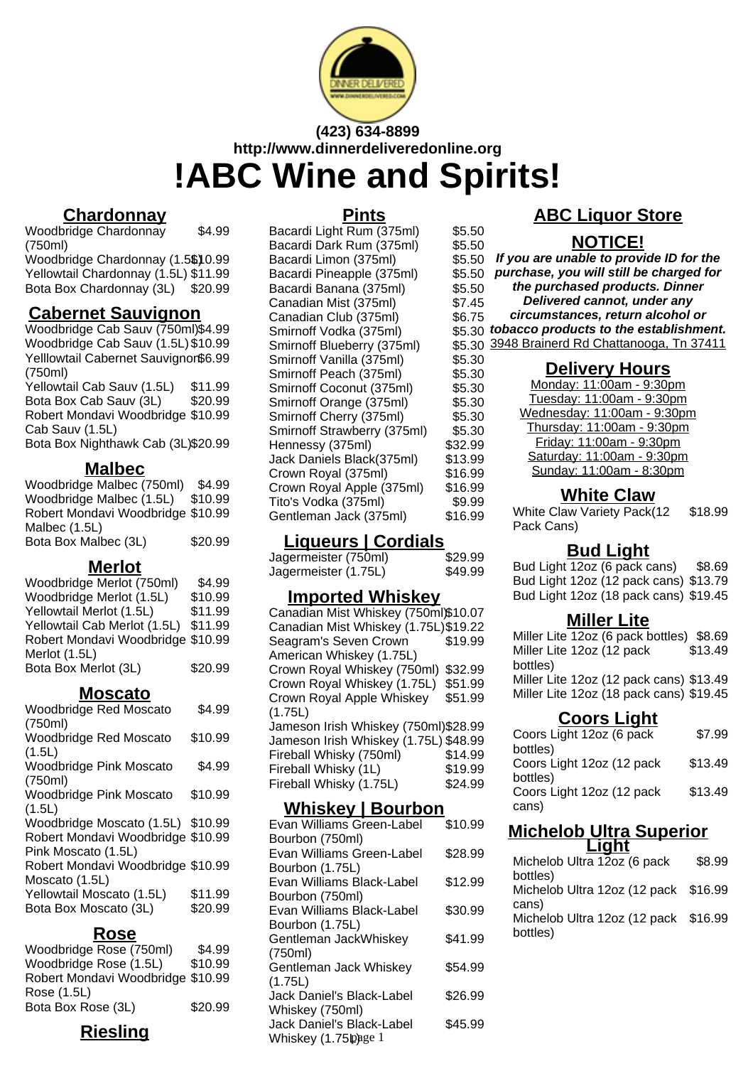

# **(423) 634-8899 http://www.dinnerdeliveredonline.org !ABC Wine and Spirits!**

# **Chardonnay**

Woodbridge Chardonnay (750ml) \$4.99 Woodbridge Chardonnay (1.5\$10.99)

Yellowtail Chardonnay (1.5L) \$11.99 Bota Box Chardonnay (3L) \$20.99

# **Cabernet Sauvignon**

Woodbridge Cab Sauv (750ml)\$4.99 Woodbridge Cab Sauv (1.5L) \$10.99 Yelllowtail Cabernet Sauvignon \$6.99 (750ml)

Yellowtail Cab Sauv (1.5L) \$11.99 Bota Box Cab Sauv (3L) \$20.99 Robert Mondavi Woodbridge \$10.99 Cab Sauv (1.5L)

Bota Box Nighthawk Cab (3L)\$20.99

## **Malbec**

| Woodbridge Malbec (750ml)         | \$4.99  |
|-----------------------------------|---------|
| Woodbridge Malbec (1.5L)          | \$10.99 |
| Robert Mondavi Woodbridge \$10.99 |         |
| Malbec (1.5L)                     |         |
| Bota Box Malbec (3L)              | \$20.99 |

### **Merlot**

| Woodbridge Merlot (750ml)         | \$4.99  |
|-----------------------------------|---------|
| Woodbridge Merlot (1.5L)          | \$10.99 |
| Yellowtail Merlot (1.5L)          | \$11.99 |
| Yellowtail Cab Merlot (1.5L)      | \$11.99 |
| Robert Mondavi Woodbridge \$10.99 |         |
| Merlot (1.5L)                     |         |
| Bota Box Merlot (3L)              | \$20.99 |

### **Moscato**

| <b>Woodbridge Red Moscato</b>             | \$4.99  |
|-------------------------------------------|---------|
| (750ml)<br><b>Woodbridge Red Moscato</b>  | \$10.99 |
| (1.5L)                                    |         |
| <b>Woodbridge Pink Moscato</b><br>(750ml) | \$4.99  |
| <b>Woodbridge Pink Moscato</b>            | \$10.99 |
| (1.5L)                                    |         |
| Woodbridge Moscato (1.5L) \$10.99         |         |
| Robert Mondavi Woodbridge \$10.99         |         |
| Pink Moscato (1.5L)                       |         |
| Robert Mondavi Woodbridge \$10.99         |         |
| Moscato (1.5L)                            |         |
| Yellowtail Moscato (1.5L)                 | \$11.99 |
| Bota Box Moscato (3L)                     | \$20.99 |
|                                           |         |

### **Rose**

| Woodbridge Rose (750ml)           | \$4.99  |
|-----------------------------------|---------|
| Woodbridge Rose (1.5L)            | \$10.99 |
| Robert Mondavi Woodbridge \$10.99 |         |
| Rose (1.5L)                       |         |
| Bota Box Rose (3L)                | \$20.99 |

# **Riesling**

#### **Pints**

| Bacardi Light Rum (375ml)   | \$5.50  |
|-----------------------------|---------|
| Bacardi Dark Rum (375ml)    | \$5.50  |
| Bacardi Limon (375ml)       | \$5.50  |
| Bacardi Pineapple (375ml)   | \$5.50  |
| Bacardi Banana (375ml)      | \$5.50  |
| Canadian Mist (375ml)       | \$7.45  |
| Canadian Club (375ml)       | \$6.75  |
| Smirnoff Vodka (375ml)      | \$5.30  |
| Smirnoff Blueberry (375ml)  | \$5.30  |
| Smirnoff Vanilla (375ml)    | \$5.30  |
| Smirnoff Peach (375ml)      | \$5.30  |
| Smirnoff Coconut (375ml)    | \$5.30  |
| Smirnoff Orange (375ml)     | \$5.30  |
| Smirnoff Cherry (375ml)     | \$5.30  |
| Smirnoff Strawberry (375ml) | \$5.30  |
| Hennessy (375ml)            | \$32.99 |
| Jack Daniels Black(375ml)   | \$13.99 |
| Crown Royal (375ml)         | \$16.99 |
| Crown Royal Apple (375ml)   | \$16.99 |
| Tito's Vodka (375ml)        | \$9.99  |
| Gentleman Jack (375ml)      | \$16.99 |
|                             |         |

### **Liqueurs | Cordials**

| Jagermeister (750ml) | \$29.99 |
|----------------------|---------|
| Jagermeister (1.75L) | \$49.99 |

### **Imported Whiskey**

Canadian Mist Whiskey (750ml)\$10.07 Canadian Mist Whiskey (1.75L)\$19.22 Seagram's Seven Crown American Whiskey (1.75L) \$19.99 Crown Royal Whiskey (750ml) \$32.99 Crown Royal Whiskey (1.75L) \$51.99 Crown Royal Apple Whiskey (1.75L) \$51.99 Jameson Irish Whiskey (750ml)\$28.99 Jameson Irish Whiskey (1.75L) \$48.99 Fireball Whisky (750ml) \$14.99 Fireball Whisky (1L) \$19.99 Fireball Whisky (1.75L) \$24.99

# **Whiskey | Bourbon**

| ----                             |         |
|----------------------------------|---------|
| Evan Williams Green-Label        | \$10.99 |
| Bourbon (750ml)                  |         |
| Evan Williams Green-Label        | \$28.99 |
| Bourbon (1.75L)                  |         |
| Evan Williams Black-Label        | \$12.99 |
| Bourbon (750ml)                  |         |
| Evan Williams Black-Label        | \$30.99 |
| Bourbon (1.75L)                  |         |
| Gentleman JackWhiskey            | \$41.99 |
| (750ml)                          |         |
| Gentleman Jack Whiskey           | \$54.99 |
| (1.75L)                          |         |
| <b>Jack Daniel's Black-Label</b> | \$26.99 |
| Whiskey (750ml)                  |         |
| <b>Jack Daniel's Black-Label</b> | \$45.99 |
| Whiskey $(1.75 \text{p})$ age 1  |         |

# **ABC Liquor Store**

# **NOTICE!**

**If you are unable to provide ID for the purchase, you will still be charged for the purchased products. Dinner Delivered cannot, under any circumstances, return alcohol or tobacco products to the establishment.** 3948 Brainerd Rd Chattanooga, Tn 37411

### **Delivery Hours**

Monday: 11:00am - 9:30pm Tuesday: 11:00am - 9:30pm Wednesday: 11:00am - 9:30pm Thursday: 11:00am - 9:30pm Friday: 11:00am - 9:30pm Saturday: 11:00am - 9:30pm Sunday: 11:00am - 8:30pm

## **White Claw**

White Claw Variety Pack(12 Pack Cans) \$18.99

### **Bud Light**

Bud Light 12oz (6 pack cans) \$8.69 Bud Light 12oz (12 pack cans) \$13.79 Bud Light 12oz (18 pack cans) \$19.45

#### **Miller Lite**

Miller Lite 12oz (6 pack bottles) \$8.69 Miller Lite 12oz (12 pack bottles) \$13.49 Miller Lite 12oz (12 pack cans) \$13.49 Miller Lite 12oz (18 pack cans) \$19.45

### **Coors Light**

| Coors Light 12oz (6 pack  | \$7.99  |
|---------------------------|---------|
| bottles)                  |         |
| Coors Light 12oz (12 pack | \$13.49 |
| bottles)                  |         |
| Coors Light 12oz (12 pack | \$13.49 |
| cans)                     |         |

# **Michelob Ultra Superior**

| <b>Light</b>                         |        |
|--------------------------------------|--------|
| Michelob Ultra 12oz (6 pack          | \$8.99 |
| bottles)                             |        |
| Michelob Ultra 12oz (12 pack \$16.99 |        |
| cans)                                |        |
| Michelob Ultra 12oz (12 pack \$16.99 |        |
| bottles)                             |        |
|                                      |        |